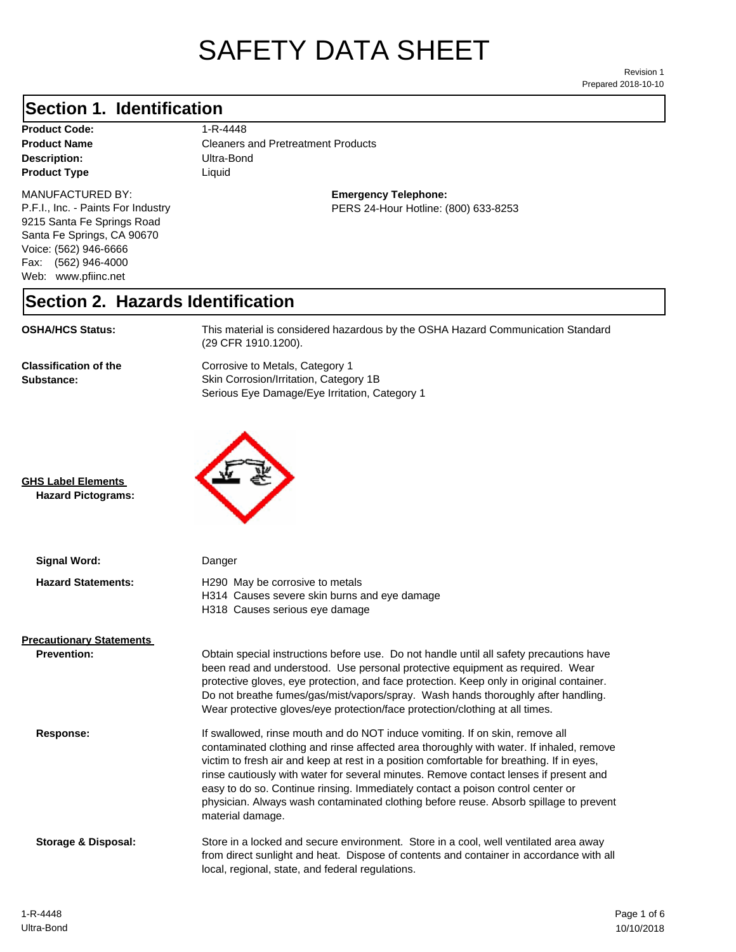# SAFETY DATA SHEET

Prepared 2018-10-10 Revision 1

## **Section 1. Identification**

| <b>Product Code:</b> |
|----------------------|
| <b>Product Name</b>  |
| Description:         |
| <b>Product Type</b>  |

#### **Product Code:** 1-R-4448

**Description:** Ultra-Bond **Cleaners and Pretreatment Products Liquid** 

#### MANUFACTURED BY:

P.F.I., Inc. - Paints For Industry 9215 Santa Fe Springs Road Santa Fe Springs, CA 90670 Voice: (562) 946-6666 Fax: (562) 946-4000 Web: www.pfiinc.net

**Emergency Telephone:** PERS 24-Hour Hotline: (800) 633-8253

# **Section 2. Hazards Identification**

| <b>OSHA/HCS Status:</b>                    | This material is considered hazardous by the OSHA Hazard Communication Standard<br>(29 CFR 1910.1200).                     |
|--------------------------------------------|----------------------------------------------------------------------------------------------------------------------------|
| <b>Classification of the</b><br>Substance: | Corrosive to Metals, Category 1<br>Skin Corrosion/Irritation, Category 1B<br>Serious Eye Damage/Eye Irritation, Category 1 |



**GHS Label Elements Hazard Pictograms:**

| Signal Word:                    | Danger                                                                                                                                                                                                                                                                                                                                                                                                                                                                                                                                                        |
|---------------------------------|---------------------------------------------------------------------------------------------------------------------------------------------------------------------------------------------------------------------------------------------------------------------------------------------------------------------------------------------------------------------------------------------------------------------------------------------------------------------------------------------------------------------------------------------------------------|
| <b>Hazard Statements:</b>       | H <sub>290</sub> May be corrosive to metals<br>H314 Causes severe skin burns and eye damage<br>H318 Causes serious eye damage                                                                                                                                                                                                                                                                                                                                                                                                                                 |
| <b>Precautionary Statements</b> |                                                                                                                                                                                                                                                                                                                                                                                                                                                                                                                                                               |
| <b>Prevention:</b>              | Obtain special instructions before use. Do not handle until all safety precautions have<br>been read and understood. Use personal protective equipment as required. Wear<br>protective gloves, eye protection, and face protection. Keep only in original container.<br>Do not breathe fumes/gas/mist/vapors/spray. Wash hands thoroughly after handling.<br>Wear protective gloves/eye protection/face protection/clothing at all times.                                                                                                                     |
| Response:                       | If swallowed, rinse mouth and do NOT induce vomiting. If on skin, remove all<br>contaminated clothing and rinse affected area thoroughly with water. If inhaled, remove<br>victim to fresh air and keep at rest in a position comfortable for breathing. If in eyes,<br>rinse cautiously with water for several minutes. Remove contact lenses if present and<br>easy to do so. Continue rinsing. Immediately contact a poison control center or<br>physician. Always wash contaminated clothing before reuse. Absorb spillage to prevent<br>material damage. |
| Storage & Disposal:             | Store in a locked and secure environment. Store in a cool, well ventilated area away<br>from direct sunlight and heat. Dispose of contents and container in accordance with all<br>local, regional, state, and federal regulations.                                                                                                                                                                                                                                                                                                                           |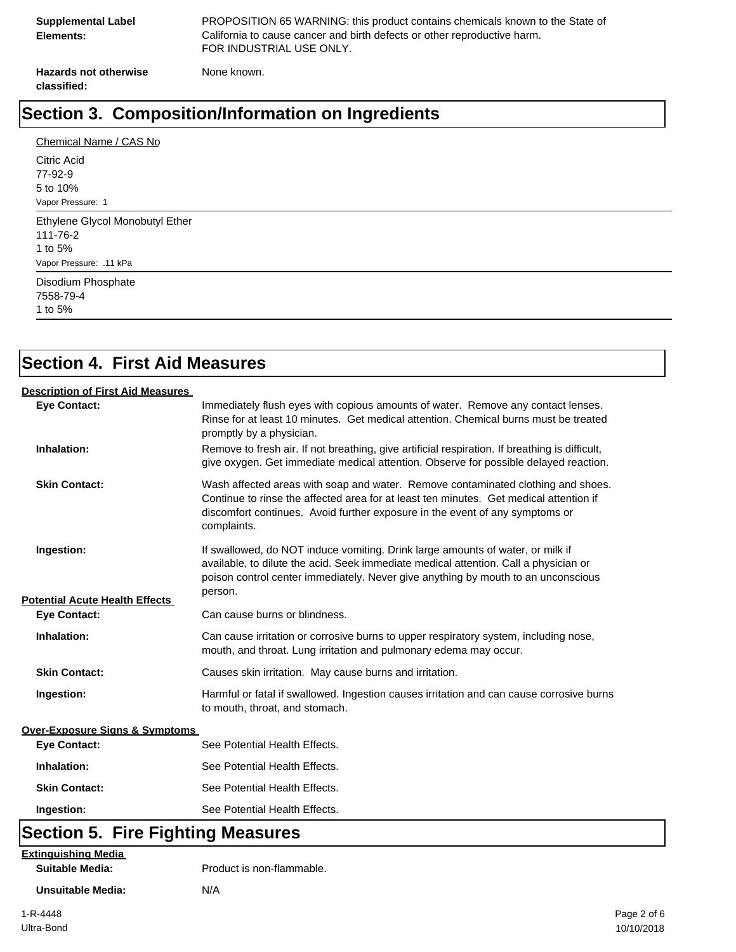| <b>Supplemental Label</b><br>Elements: | PROPOSITION 65 WARNING: this product contains chemicals known to the State of<br>California to cause cancer and birth defects or other reproductive harm.<br>FOR INDUSTRIAL USE ONLY. |
|----------------------------------------|---------------------------------------------------------------------------------------------------------------------------------------------------------------------------------------|
| <b>Hazards not otherwise</b>           | None known.                                                                                                                                                                           |

# **Section 3. Composition/Information on Ingredients**

# **Section 4. First Aid Measures**

#### **Description of First Aid Measures**

**classified:**

| <b>Eve Contact:</b>                       | Immediately flush eyes with copious amounts of water. Remove any contact lenses.<br>Rinse for at least 10 minutes. Get medical attention. Chemical burns must be treated<br>promptly by a physician.                                                                      |
|-------------------------------------------|---------------------------------------------------------------------------------------------------------------------------------------------------------------------------------------------------------------------------------------------------------------------------|
| Inhalation:                               | Remove to fresh air. If not breathing, give artificial respiration. If breathing is difficult,<br>give oxygen. Get immediate medical attention. Observe for possible delayed reaction.                                                                                    |
| <b>Skin Contact:</b>                      | Wash affected areas with soap and water. Remove contaminated clothing and shoes.<br>Continue to rinse the affected area for at least ten minutes. Get medical attention if<br>discomfort continues. Avoid further exposure in the event of any symptoms or<br>complaints. |
| Ingestion:                                | If swallowed, do NOT induce vomiting. Drink large amounts of water, or milk if<br>available, to dilute the acid. Seek immediate medical attention. Call a physician or<br>poison control center immediately. Never give anything by mouth to an unconscious<br>person.    |
| <b>Potential Acute Health Effects</b>     |                                                                                                                                                                                                                                                                           |
| <b>Eye Contact:</b>                       | Can cause burns or blindness.                                                                                                                                                                                                                                             |
| Inhalation:                               | Can cause irritation or corrosive burns to upper respiratory system, including nose,<br>mouth, and throat. Lung irritation and pulmonary edema may occur.                                                                                                                 |
| <b>Skin Contact:</b>                      | Causes skin irritation. May cause burns and irritation.                                                                                                                                                                                                                   |
| Ingestion:                                | Harmful or fatal if swallowed. Ingestion causes irritation and can cause corrosive burns<br>to mouth, throat, and stomach.                                                                                                                                                |
| <b>Over-Exposure Signs &amp; Symptoms</b> |                                                                                                                                                                                                                                                                           |
| <b>Eye Contact:</b>                       | See Potential Health Effects.                                                                                                                                                                                                                                             |
| Inhalation:                               | See Potential Health Effects.                                                                                                                                                                                                                                             |
| <b>Skin Contact:</b>                      | See Potential Health Effects.                                                                                                                                                                                                                                             |
| Ingestion:                                | See Potential Health Effects.                                                                                                                                                                                                                                             |
| <b>Section 5. Fire Fighting Measures</b>  |                                                                                                                                                                                                                                                                           |

**Extinguishing Media**

**Suitable Media:** Product is non-flammable.

**Unsuitable Media:** N/A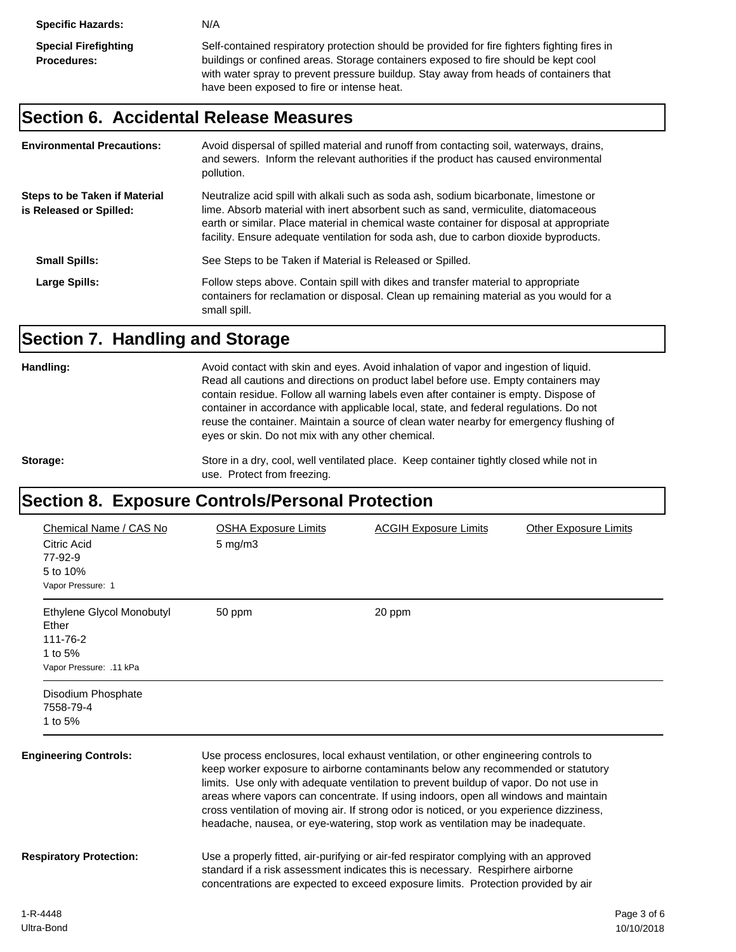#### **Section 6. Accidental Release Measures**

| <b>Environmental Precautions:</b>                        | Avoid dispersal of spilled material and runoff from contacting soil, waterways, drains,<br>and sewers. Inform the relevant authorities if the product has caused environmental<br>pollution.                                                                                                                                                                    |
|----------------------------------------------------------|-----------------------------------------------------------------------------------------------------------------------------------------------------------------------------------------------------------------------------------------------------------------------------------------------------------------------------------------------------------------|
| Steps to be Taken if Material<br>is Released or Spilled: | Neutralize acid spill with alkali such as soda ash, sodium bicarbonate, limestone or<br>lime. Absorb material with inert absorbent such as sand, vermiculite, diatomaceous<br>earth or similar. Place material in chemical waste container for disposal at appropriate<br>facility. Ensure adequate ventilation for soda ash, due to carbon dioxide byproducts. |
| <b>Small Spills:</b>                                     | See Steps to be Taken if Material is Released or Spilled.                                                                                                                                                                                                                                                                                                       |
| Large Spills:                                            | Follow steps above. Contain spill with dikes and transfer material to appropriate<br>containers for reclamation or disposal. Clean up remaining material as you would for a<br>small spill.                                                                                                                                                                     |

# **Section 7. Handling and Storage**

Handling: **Handling:** Avoid contact with skin and eyes. Avoid inhalation of vapor and ingestion of liquid. Read all cautions and directions on product label before use. Empty containers may contain residue. Follow all warning labels even after container is empty. Dispose of container in accordance with applicable local, state, and federal regulations. Do not reuse the container. Maintain a source of clean water nearby for emergency flushing of eyes or skin. Do not mix with any other chemical.

Storage: Store in a dry, cool, well ventilated place. Keep container tightly closed while not in use. Protect from freezing.

## **Section 8. Exposure Controls/Personal Protection**

| Chemical Name / CAS No<br>Citric Acid<br>77-92-9<br>5 to 10%<br>Vapor Pressure: 1    | <b>OSHA Exposure Limits</b><br>5 mg/m3                                                                                                                                                                                                                                                                                                                                                                                                                                                                                                | <b>ACGIH Exposure Limits</b>                                                                                                                                                                                                                                 | <b>Other Exposure Limits</b> |
|--------------------------------------------------------------------------------------|---------------------------------------------------------------------------------------------------------------------------------------------------------------------------------------------------------------------------------------------------------------------------------------------------------------------------------------------------------------------------------------------------------------------------------------------------------------------------------------------------------------------------------------|--------------------------------------------------------------------------------------------------------------------------------------------------------------------------------------------------------------------------------------------------------------|------------------------------|
| Ethylene Glycol Monobutyl<br>Ether<br>111-76-2<br>1 to 5%<br>Vapor Pressure: .11 kPa | 50 ppm                                                                                                                                                                                                                                                                                                                                                                                                                                                                                                                                | 20 ppm                                                                                                                                                                                                                                                       |                              |
| Disodium Phosphate<br>7558-79-4<br>1 to 5%                                           |                                                                                                                                                                                                                                                                                                                                                                                                                                                                                                                                       |                                                                                                                                                                                                                                                              |                              |
| <b>Engineering Controls:</b>                                                         | Use process enclosures, local exhaust ventilation, or other engineering controls to<br>keep worker exposure to airborne contaminants below any recommended or statutory<br>limits. Use only with adequate ventilation to prevent buildup of vapor. Do not use in<br>areas where vapors can concentrate. If using indoors, open all windows and maintain<br>cross ventilation of moving air. If strong odor is noticed, or you experience dizziness,<br>headache, nausea, or eye-watering, stop work as ventilation may be inadequate. |                                                                                                                                                                                                                                                              |                              |
| <b>Respiratory Protection:</b>                                                       |                                                                                                                                                                                                                                                                                                                                                                                                                                                                                                                                       | Use a properly fitted, air-purifying or air-fed respirator complying with an approved<br>standard if a risk assessment indicates this is necessary. Respirhere airborne<br>concentrations are expected to exceed exposure limits. Protection provided by air |                              |
|                                                                                      |                                                                                                                                                                                                                                                                                                                                                                                                                                                                                                                                       |                                                                                                                                                                                                                                                              |                              |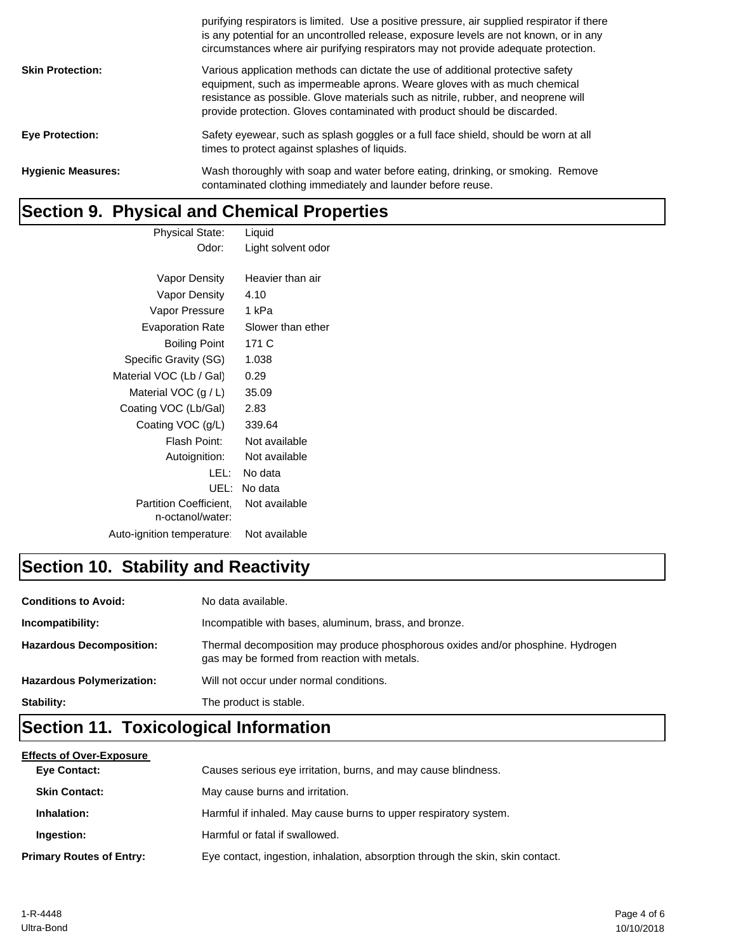|                           | purifying respirators is limited. Use a positive pressure, air supplied respirator if there<br>is any potential for an uncontrolled release, exposure levels are not known, or in any<br>circumstances where air purifying respirators may not provide adequate protection.                                                     |
|---------------------------|---------------------------------------------------------------------------------------------------------------------------------------------------------------------------------------------------------------------------------------------------------------------------------------------------------------------------------|
| <b>Skin Protection:</b>   | Various application methods can dictate the use of additional protective safety<br>equipment, such as impermeable aprons. Weare gloves with as much chemical<br>resistance as possible. Glove materials such as nitrile, rubber, and neoprene will<br>provide protection. Gloves contaminated with product should be discarded. |
| <b>Eye Protection:</b>    | Safety eyewear, such as splash goggles or a full face shield, should be worn at all<br>times to protect against splashes of liquids.                                                                                                                                                                                            |
| <b>Hygienic Measures:</b> | Wash thoroughly with soap and water before eating, drinking, or smoking. Remove<br>contaminated clothing immediately and launder before reuse.                                                                                                                                                                                  |

# **Section 9. Physical and Chemical Properties**

| <b>Physical State:</b>        | Liquid             |
|-------------------------------|--------------------|
| Odor:                         | Light solvent odor |
|                               |                    |
| Vapor Density                 | Heavier than air   |
| Vapor Density                 | 4.10               |
| Vapor Pressure                | 1 kPa              |
| <b>Evaporation Rate</b>       | Slower than ether  |
| <b>Boiling Point</b>          | 171 C              |
| Specific Gravity (SG)         | 1.038              |
| Material VOC (Lb / Gal)       | 0.29               |
| Material VOC $(g/L)$          | 35.09              |
| Coating VOC (Lb/Gal)          | 2.83               |
| Coating VOC (g/L)             | 339.64             |
| Flash Point:                  | Not available      |
| Autoignition:                 | Not available      |
| LEL: I                        | No data            |
| UEL:                          | No data            |
| <b>Partition Coefficient.</b> | Not available      |
| n-octanol/water:              |                    |
| Auto-ignition temperature:    | Not available      |

# **Section 10. Stability and Reactivity**

| <b>Conditions to Avoid:</b>      | No data available.                                                                                                              |
|----------------------------------|---------------------------------------------------------------------------------------------------------------------------------|
| Incompatibility:                 | Incompatible with bases, aluminum, brass, and bronze.                                                                           |
| <b>Hazardous Decomposition:</b>  | Thermal decomposition may produce phosphorous oxides and/or phosphine. Hydrogen<br>gas may be formed from reaction with metals. |
| <b>Hazardous Polymerization:</b> | Will not occur under normal conditions.                                                                                         |
| Stability:                       | The product is stable.                                                                                                          |
|                                  |                                                                                                                                 |

# **Section 11. Toxicological Information**

| <b>Effects of Over-Exposure</b> |                                                                                |
|---------------------------------|--------------------------------------------------------------------------------|
| Eye Contact:                    | Causes serious eye irritation, burns, and may cause blindness.                 |
| <b>Skin Contact:</b>            | May cause burns and irritation.                                                |
| Inhalation:                     | Harmful if inhaled. May cause burns to upper respiratory system.               |
| Ingestion:                      | Harmful or fatal if swallowed.                                                 |
| <b>Primary Routes of Entry:</b> | Eye contact, ingestion, inhalation, absorption through the skin, skin contact. |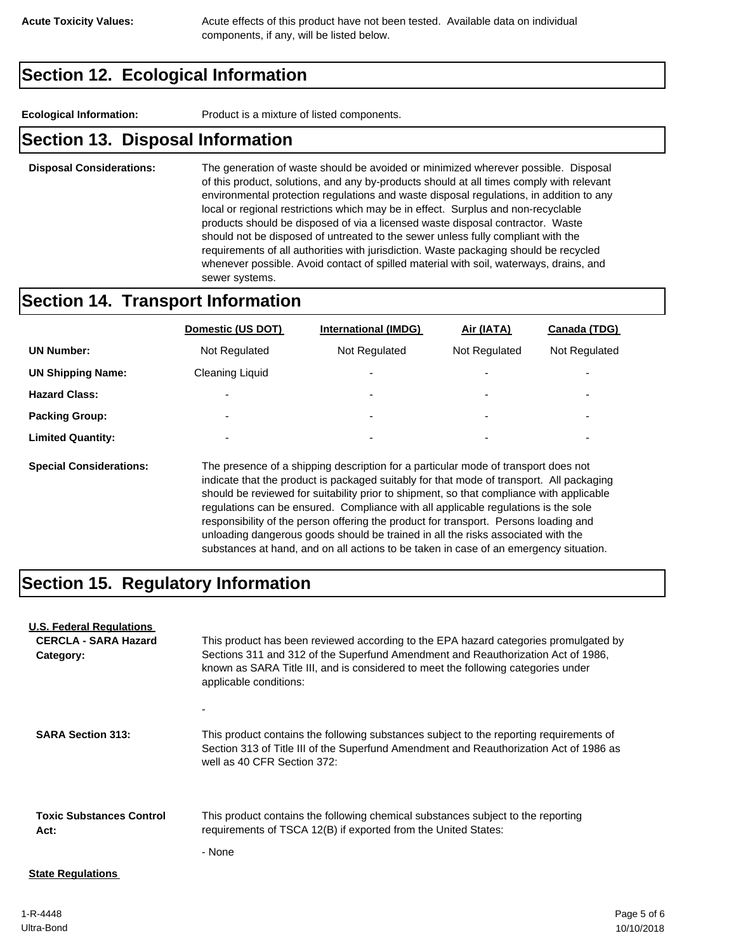**Acute Toxicity Values:** Acute effects of this product have not been tested. Available data on individual components, if any, will be listed below.

## **Section 12. Ecological Information**

**Ecological Information:** Product is a mixture of listed components.

#### **Section 13. Disposal Information**

**Disposal Considerations:** The generation of waste should be avoided or minimized wherever possible. Disposal of this product, solutions, and any by-products should at all times comply with relevant environmental protection regulations and waste disposal regulations, in addition to any local or regional restrictions which may be in effect. Surplus and non-recyclable products should be disposed of via a licensed waste disposal contractor. Waste should not be disposed of untreated to the sewer unless fully compliant with the requirements of all authorities with jurisdiction. Waste packaging should be recycled whenever possible. Avoid contact of spilled material with soil, waterways, drains, and sewer systems.

#### **Section 14. Transport Information**

|                          | Domestic (US DOT)        | <b>International (IMDG)</b> | Air (IATA)    | Canada (TDG)             |
|--------------------------|--------------------------|-----------------------------|---------------|--------------------------|
| <b>UN Number:</b>        | Not Regulated            | Not Regulated               | Not Regulated | Not Regulated            |
| <b>UN Shipping Name:</b> | <b>Cleaning Liquid</b>   | $\overline{\phantom{a}}$    | -             | $\overline{\phantom{0}}$ |
| <b>Hazard Class:</b>     | -                        | ٠                           | -             | ۰                        |
| <b>Packing Group:</b>    | $\overline{\phantom{a}}$ | ٠                           | -             | ۰                        |
| <b>Limited Quantity:</b> | $\overline{\phantom{0}}$ | ۰                           | -             | $\overline{\phantom{0}}$ |
|                          |                          |                             |               |                          |

**Special Considerations:** The presence of a shipping description for a particular mode of transport does not indicate that the product is packaged suitably for that mode of transport. All packaging should be reviewed for suitability prior to shipment, so that compliance with applicable regulations can be ensured. Compliance with all applicable regulations is the sole responsibility of the person offering the product for transport. Persons loading and unloading dangerous goods should be trained in all the risks associated with the substances at hand, and on all actions to be taken in case of an emergency situation.

## **Section 15. Regulatory Information**

| <b>U.S. Federal Regulations</b><br><b>CERCLA - SARA Hazard</b><br>Category: | This product has been reviewed according to the EPA hazard categories promulgated by<br>Sections 311 and 312 of the Superfund Amendment and Reauthorization Act of 1986,<br>known as SARA Title III, and is considered to meet the following categories under<br>applicable conditions: |
|-----------------------------------------------------------------------------|-----------------------------------------------------------------------------------------------------------------------------------------------------------------------------------------------------------------------------------------------------------------------------------------|
| <b>SARA Section 313:</b>                                                    | This product contains the following substances subject to the reporting requirements of<br>Section 313 of Title III of the Superfund Amendment and Reauthorization Act of 1986 as<br>well as 40 CFR Section 372:                                                                        |
| <b>Toxic Substances Control</b><br>Act:                                     | This product contains the following chemical substances subject to the reporting<br>requirements of TSCA 12(B) if exported from the United States:<br>- None                                                                                                                            |
| <b>State Regulations</b>                                                    |                                                                                                                                                                                                                                                                                         |